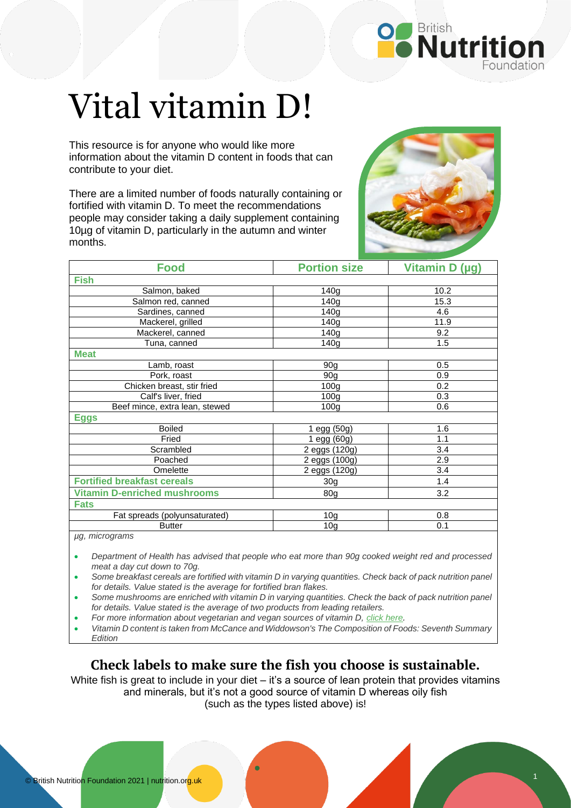

## Vital vitamin D!

This resource is for anyone who would like more information about the vitamin D content in foods that can contribute to your diet.

There are a limited number of foods naturally containing or fortified with vitamin D. To meet the recommendations people may consider taking a daily supplement containing 10µg of vitamin D, particularly in the autumn and winter months.



| <b>Food</b>                         | <b>Portion size</b> | Vitamin D (µg) |
|-------------------------------------|---------------------|----------------|
| <b>Fish</b>                         |                     |                |
| Salmon, baked                       | 140g                | 10.2           |
| Salmon red, canned                  | 140 <sub>g</sub>    | 15.3           |
| Sardines, canned                    | 140q                | 4.6            |
| Mackerel, grilled                   | 140g                | 11.9           |
| Mackerel, canned                    | 140g                | 9.2            |
| Tuna, canned                        | 140g                | 1.5            |
| <b>Meat</b>                         |                     |                |
| Lamb, roast                         | 90 <sub>g</sub>     | 0.5            |
| Pork, roast                         | 90 <sub>g</sub>     | 0.9            |
| Chicken breast, stir fried          | 100 <sub>g</sub>    | 0.2            |
| Calf's liver, fried                 | 100 <sub>g</sub>    | 0.3            |
| Beef mince, extra lean, stewed      | 100g                | 0.6            |
| <b>Eggs</b>                         |                     |                |
| <b>Boiled</b>                       | 1 egg (50g)         | 1.6            |
| Fried                               | 1 egg (60g)         | 1.1            |
| Scrambled                           | 2 eggs (120g)       | 3.4            |
| Poached                             | 2 eggs (100g)       | 2.9            |
| Omelette                            | 2 eggs (120g)       | 3.4            |
| <b>Fortified breakfast cereals</b>  | 30 <sub>g</sub>     | 1.4            |
| <b>Vitamin D-enriched mushrooms</b> | 80 <sub>g</sub>     | 3.2            |
| <b>Fats</b>                         |                     |                |
| Fat spreads (polyunsaturated)       | 10 <sub>g</sub>     | 0.8            |
| <b>Butter</b>                       | 10 <sub>g</sub>     | 0.1            |
| µg, micrograms                      |                     |                |

• *Department of Health has advised that people who eat more than 90g cooked weight red and processed meat a day cut down to 70g.*

• *Some breakfast cereals are fortified with vitamin D in varying quantities. Check back of pack nutrition panel for details. Value stated is the average for fortified bran flakes.*

• *Some mushrooms are enriched with vitamin D in varying quantities. Check the back of pack nutrition panel for details. Value stated is the average of two products from leading retailers.* 

• *For more information about vegetarian and vegan sources of vitamin D, [click here.](https://www.nutrition.org.uk/putting-it-into-practice/plant-based-diets/healthy-eating-for-vegetarians-and-vegans/?level=Consumer)*

• *Vitamin D content is taken from McCance and Widdowson's The Composition of Foods: Seventh Summary Edition*

## **Check labels to make sure the fish you choose is sustainable.**

White fish is great to include in your diet – it's a source of lean protein that provides vitamins and minerals, but it's not a good source of vitamin D whereas oily fish (such as the types listed above) is!